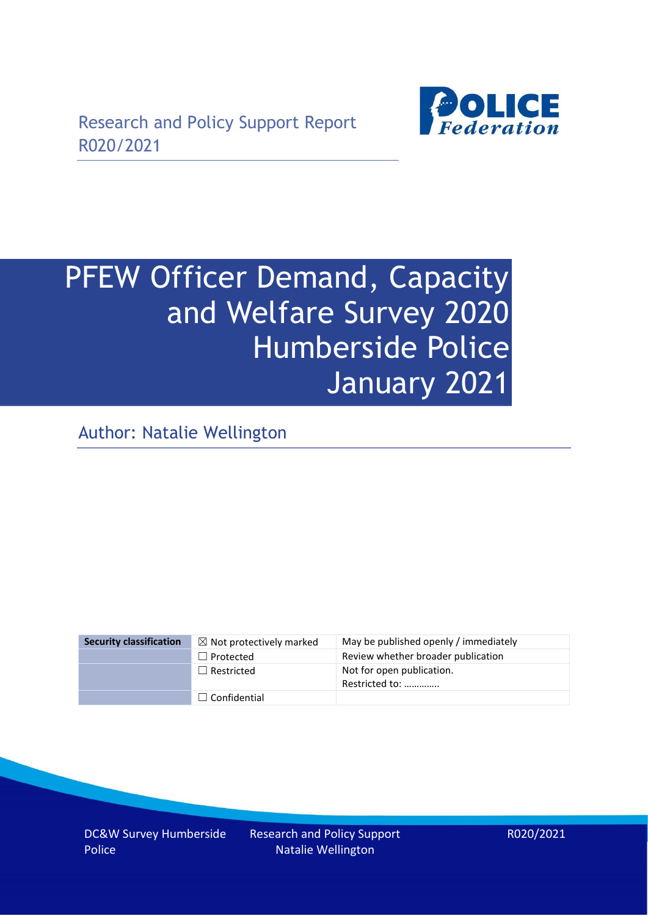

# PFEW Officer Demand, Capacity and Welfare Survey 2020 Humberside Police January 2021

Author: Natalie Wellington

| <b>Security classification</b> | $\boxtimes$ Not protectively marked | May be published openly / immediately       |
|--------------------------------|-------------------------------------|---------------------------------------------|
|                                | $\Box$ Protected                    | Review whether broader publication          |
|                                | $\Box$ Restricted                   | Not for open publication.<br>Restricted to: |
|                                | $\Box$ Confidential                 |                                             |

DC&W Survey Humberside Police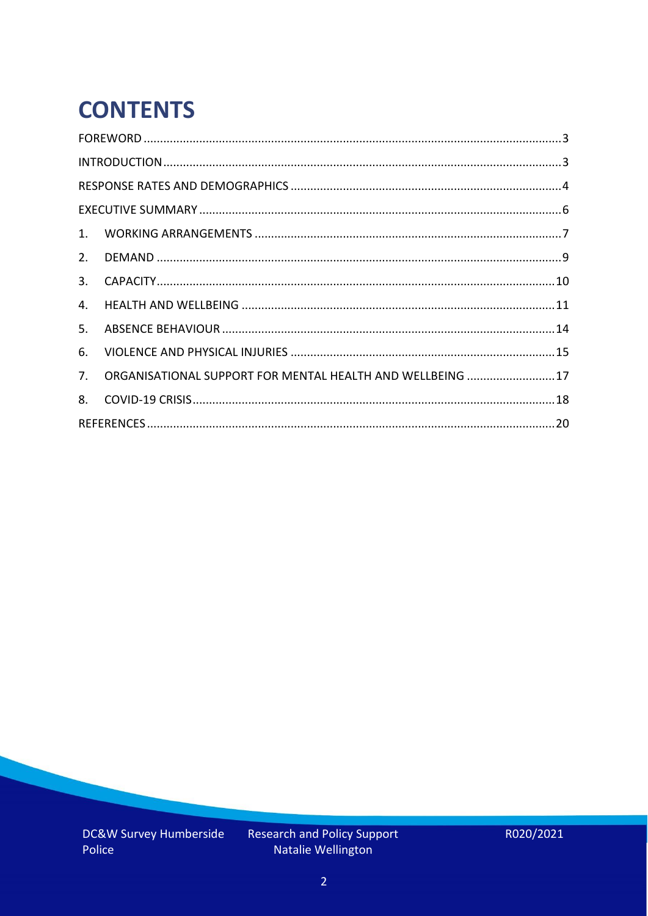# **CONTENTS**

| 2.          |                                                            |  |
|-------------|------------------------------------------------------------|--|
| 3.          |                                                            |  |
| 4.          |                                                            |  |
| 5.          |                                                            |  |
| 6.          |                                                            |  |
| $7_{\cdot}$ | ORGANISATIONAL SUPPORT FOR MENTAL HEALTH AND WELLBEING  17 |  |
| 8.          |                                                            |  |
|             |                                                            |  |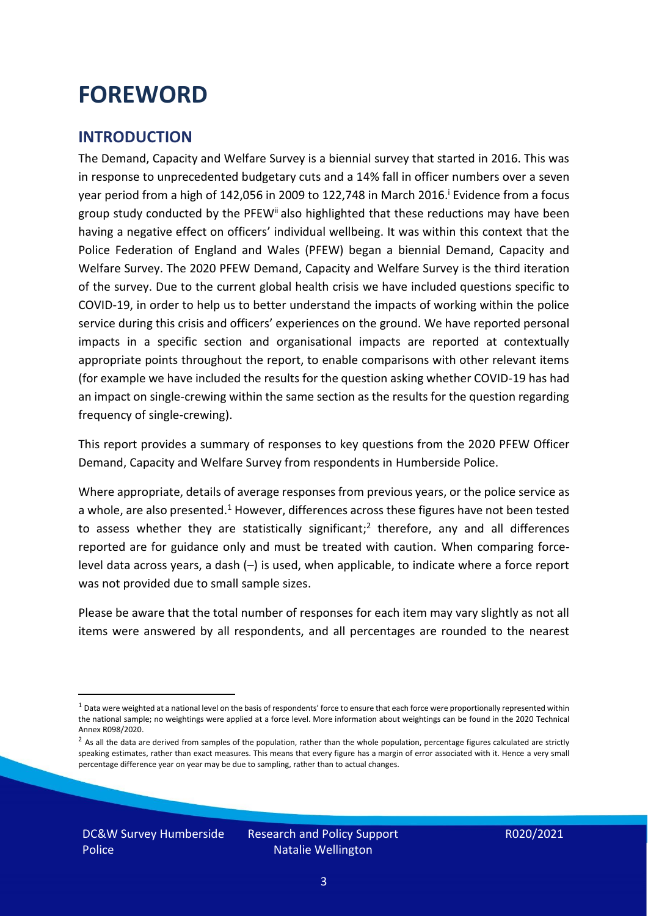### <span id="page-2-0"></span>**FOREWORD**

#### <span id="page-2-1"></span>**INTRODUCTION**

The Demand, Capacity and Welfare Survey is a biennial survey that started in 2016. This was in response to unprecedented budgetary cuts and a 14% fall in officer numbers over a seven year period from a high of 142,056 in 2009 to 122,748 in March 2016. <sup>i</sup> Evidence from a focus group study conducted by the PFEW<sup>ii</sup> also highlighted that these reductions may have been having a negative effect on officers' individual wellbeing. It was within this context that the Police Federation of England and Wales (PFEW) began a biennial Demand, Capacity and Welfare Survey. The 2020 PFEW Demand, Capacity and Welfare Survey is the third iteration of the survey. Due to the current global health crisis we have included questions specific to COVID-19, in order to help us to better understand the impacts of working within the police service during this crisis and officers' experiences on the ground. We have reported personal impacts in a specific section and organisational impacts are reported at contextually appropriate points throughout the report, to enable comparisons with other relevant items (for example we have included the results for the question asking whether COVID-19 has had an impact on single-crewing within the same section as the results for the question regarding frequency of single-crewing).

This report provides a summary of responses to key questions from the 2020 PFEW Officer Demand, Capacity and Welfare Survey from respondents in Humberside Police.

Where appropriate, details of average responses from previous years, or the police service as a whole, are also presented.<sup>1</sup> However, differences across these figures have not been tested to assess whether they are statistically significant;<sup>2</sup> therefore, any and all differences reported are for guidance only and must be treated with caution. When comparing forcelevel data across years, a dash (–) is used, when applicable, to indicate where a force report was not provided due to small sample sizes.

Please be aware that the total number of responses for each item may vary slightly as not all items were answered by all respondents, and all percentages are rounded to the nearest

 $1$  Data were weighted at a national level on the basis of respondents' force to ensure that each force were proportionally represented within the national sample; no weightings were applied at a force level. More information about weightings can be found in the 2020 Technical Annex R098/2020.

 $2$  As all the data are derived from samples of the population, rather than the whole population, percentage figures calculated are strictly speaking estimates, rather than exact measures. This means that every figure has a margin of error associated with it. Hence a very small percentage difference year on year may be due to sampling, rather than to actual changes.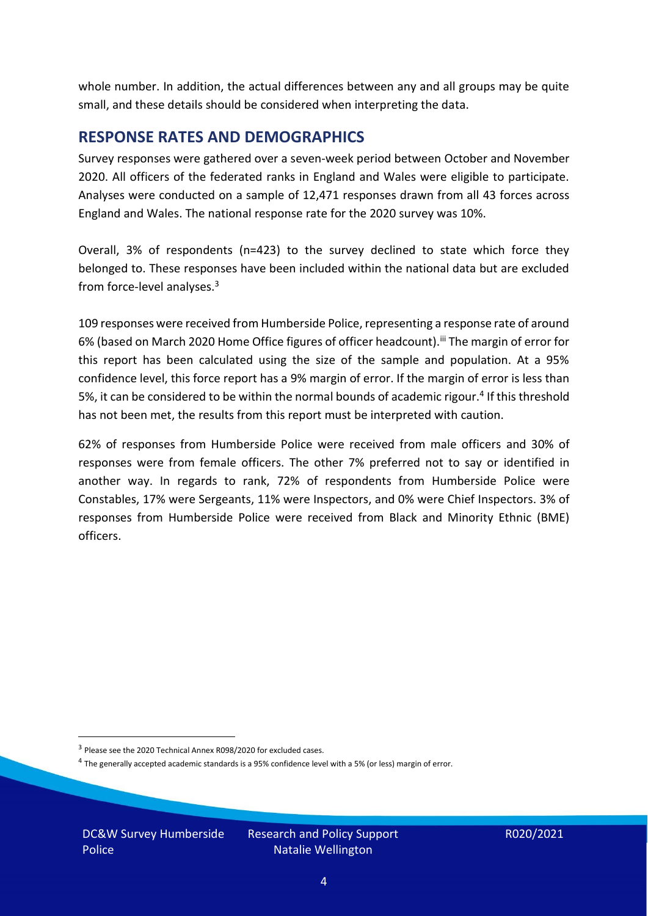whole number. In addition, the actual differences between any and all groups may be quite small, and these details should be considered when interpreting the data.

#### <span id="page-3-0"></span>**RESPONSE RATES AND DEMOGRAPHICS**

Survey responses were gathered over a seven-week period between October and November 2020. All officers of the federated ranks in England and Wales were eligible to participate. Analyses were conducted on a sample of 12,471 responses drawn from all 43 forces across England and Wales. The national response rate for the 2020 survey was 10%.

Overall, 3% of respondents (n=423) to the survey declined to state which force they belonged to. These responses have been included within the national data but are excluded from force-level analyses.<sup>3</sup>

109 responses were received from Humberside Police, representing a response rate of around 6% (based on March 2020 Home Office figures of officer headcount).<sup>iii</sup> The margin of error for this report has been calculated using the size of the sample and population. At a 95% confidence level, this force report has a 9% margin of error. If the margin of error is less than 5%, it can be considered to be within the normal bounds of academic rigour.<sup>4</sup> If this threshold has not been met, the results from this report must be interpreted with caution.

62% of responses from Humberside Police were received from male officers and 30% of responses were from female officers. The other 7% preferred not to say or identified in another way. In regards to rank, 72% of respondents from Humberside Police were Constables, 17% were Sergeants, 11% were Inspectors, and 0% were Chief Inspectors. 3% of responses from Humberside Police were received from Black and Minority Ethnic (BME) officers.

DC&W Survey Humberside Police

<sup>&</sup>lt;sup>3</sup> Please see the 2020 Technical Annex R098/2020 for excluded cases.

<sup>&</sup>lt;sup>4</sup> The generally accepted academic standards is a 95% confidence level with a 5% (or less) margin of error.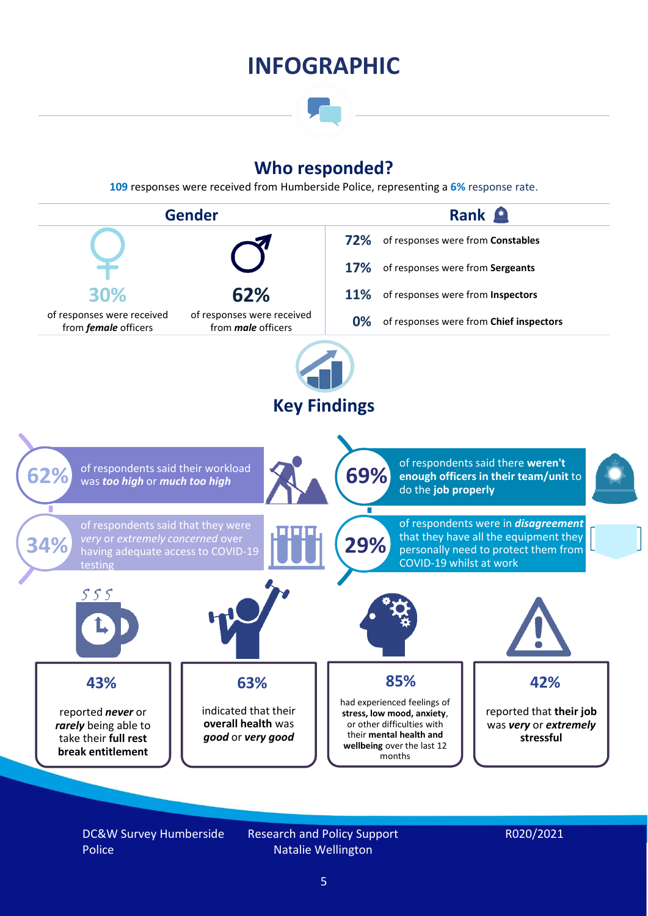### **INFOGRAPHIC**

### **Who responded?**

**109** responses were received from Humberside Police, representing a **6%** response rate.



DC&W Survey Humberside Police

Research and Policy Support Natalie Wellington

#### R020/2021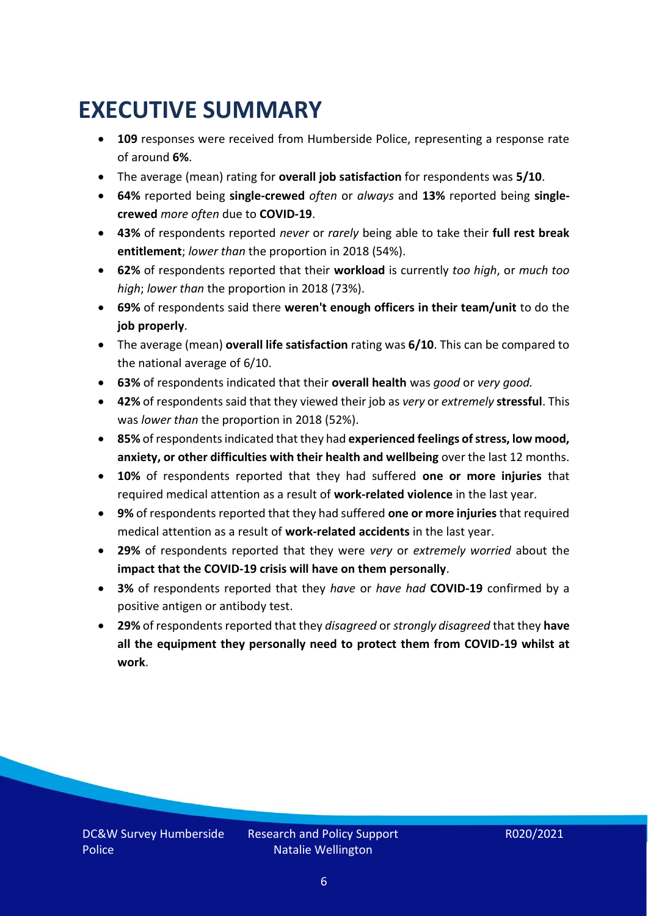# <span id="page-5-0"></span>**EXECUTIVE SUMMARY**

- **109** responses were received from Humberside Police, representing a response rate of around **6%**.
- The average (mean) rating for **overall job satisfaction** for respondents was **5/10**.
- **64%** reported being **single-crewed** *often* or *always* and **13%** reported being **singlecrewed** *more often* due to **COVID-19**.
- **43%** of respondents reported *never* or *rarely* being able to take their **full rest break entitlement**; *lower than* the proportion in 2018 (54%).
- **62%** of respondents reported that their **workload** is currently *too high*, or *much too high*; *lower than* the proportion in 2018 (73%).
- **69%** of respondents said there **weren't enough officers in their team/unit** to do the **job properly**.
- The average (mean) **overall life satisfaction** rating was **6/10**. This can be compared to the national average of 6/10.
- **63%** of respondents indicated that their **overall health** was *good* or *very good.*
- **42%** of respondents said that they viewed their job as *very* or *extremely* **stressful**. This was *lower than* the proportion in 2018 (52%).
- **85%** of respondents indicated that they had **experienced feelings of stress, low mood, anxiety, or other difficulties with their health and wellbeing** over the last 12 months.
- **10%** of respondents reported that they had suffered **one or more injuries** that required medical attention as a result of **work-related violence** in the last year.
- **9%** of respondents reported that they had suffered **one or more injuries**that required medical attention as a result of **work-related accidents** in the last year.
- **29%** of respondents reported that they were *very* or *extremely worried* about the **impact that the COVID-19 crisis will have on them personally**.
- **3%** of respondents reported that they *have* or *have had* **COVID-19** confirmed by a positive antigen or antibody test.
- **29%** of respondents reported that they *disagreed* or *strongly disagreed* that they **have all the equipment they personally need to protect them from COVID-19 whilst at work**.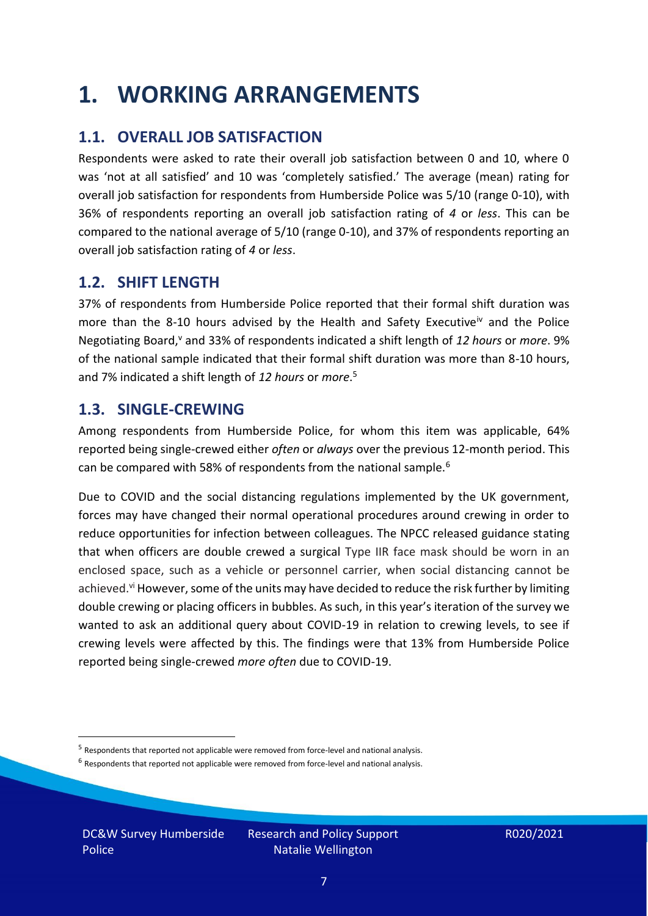### <span id="page-6-0"></span>**1. WORKING ARRANGEMENTS**

### **1.1. OVERALL JOB SATISFACTION**

Respondents were asked to rate their overall job satisfaction between 0 and 10, where 0 was 'not at all satisfied' and 10 was 'completely satisfied.' The average (mean) rating for overall job satisfaction for respondents from Humberside Police was 5/10 (range 0-10), with 36% of respondents reporting an overall job satisfaction rating of *4* or *less*. This can be compared to the national average of 5/10 (range 0-10), and 37% of respondents reporting an overall job satisfaction rating of *4* or *less*.

#### **1.2. SHIFT LENGTH**

37% of respondents from Humberside Police reported that their formal shift duration was more than the 8-10 hours advised by the Health and Safety Executive<sup>iv</sup> and the Police Negotiating Board,<sup>v</sup> and 33% of respondents indicated a shift length of 12 hours or *more*. 9% of the national sample indicated that their formal shift duration was more than 8-10 hours, and 7% indicated a shift length of *12 hours* or *more*. 5

#### **1.3. SINGLE-CREWING**

Among respondents from Humberside Police, for whom this item was applicable, 64% reported being single-crewed either *often* or *always* over the previous 12-month period. This can be compared with 58% of respondents from the national sample.<sup>6</sup>

Due to COVID and the social distancing regulations implemented by the UK government, forces may have changed their normal operational procedures around crewing in order to reduce opportunities for infection between colleagues. The NPCC released guidance stating that when officers are double crewed a surgical Type IIR face mask should be worn in an enclosed space, such as a vehicle or personnel carrier, when social distancing cannot be achieved.<sup>vi</sup> However, some of the units may have decided to reduce the risk further by limiting double crewing or placing officers in bubbles. As such, in this year's iteration of the survey we wanted to ask an additional query about COVID-19 in relation to crewing levels, to see if crewing levels were affected by this. The findings were that 13% from Humberside Police reported being single-crewed *more often* due to COVID-19.

DC&W Survey Humberside Police

<sup>&</sup>lt;sup>5</sup> Respondents that reported not applicable were removed from force-level and national analysis.

 $<sup>6</sup>$  Respondents that reported not applicable were removed from force-level and national analysis.</sup>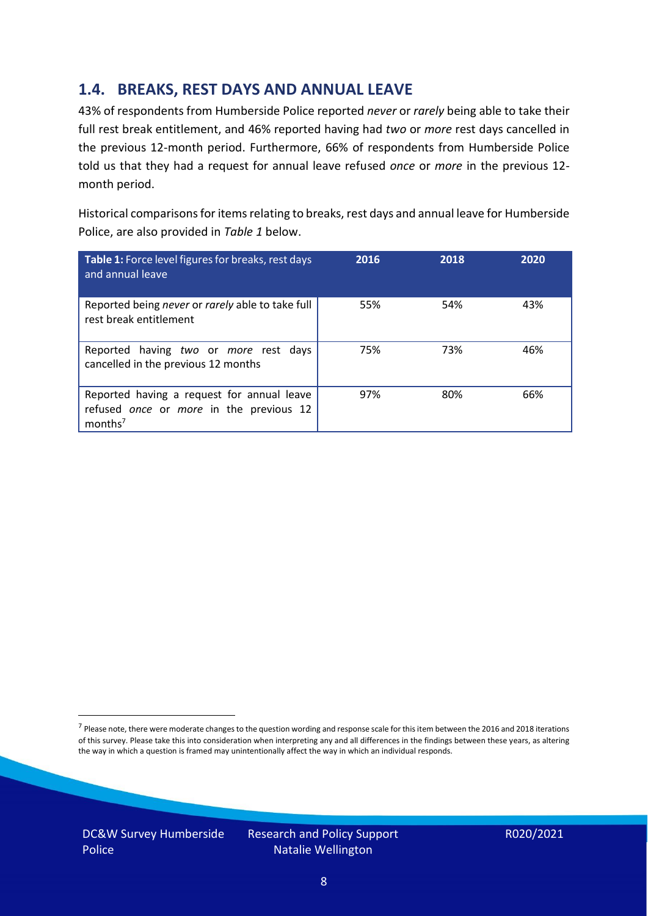### **1.4. BREAKS, REST DAYS AND ANNUAL LEAVE**

43% of respondents from Humberside Police reported *never* or *rarely* being able to take their full rest break entitlement, and 46% reported having had *two* or *more* rest days cancelled in the previous 12-month period. Furthermore, 66% of respondents from Humberside Police told us that they had a request for annual leave refused *once* or *more* in the previous 12 month period.

Historical comparisons for items relating to breaks, rest days and annual leave for Humberside Police, are also provided in *Table 1* below.

| Table 1: Force level figures for breaks, rest days<br>and annual leave                                       | 2016 | 2018 | 2020 |
|--------------------------------------------------------------------------------------------------------------|------|------|------|
| Reported being never or rarely able to take full<br>rest break entitlement                                   | 55%  | 54%  | 43%  |
| Reported having two or more rest days<br>cancelled in the previous 12 months                                 | 75%  | 73%  | 46%  |
| Reported having a request for annual leave<br>refused once or more in the previous 12<br>months <sup>7</sup> | 97%  | 80%  | 66%  |

DC&W Survey Humberside Police

<sup>&</sup>lt;sup>7</sup> Please note, there were moderate changes to the question wording and response scale for this item between the 2016 and 2018 iterations of this survey. Please take this into consideration when interpreting any and all differences in the findings between these years, as altering the way in which a question is framed may unintentionally affect the way in which an individual responds.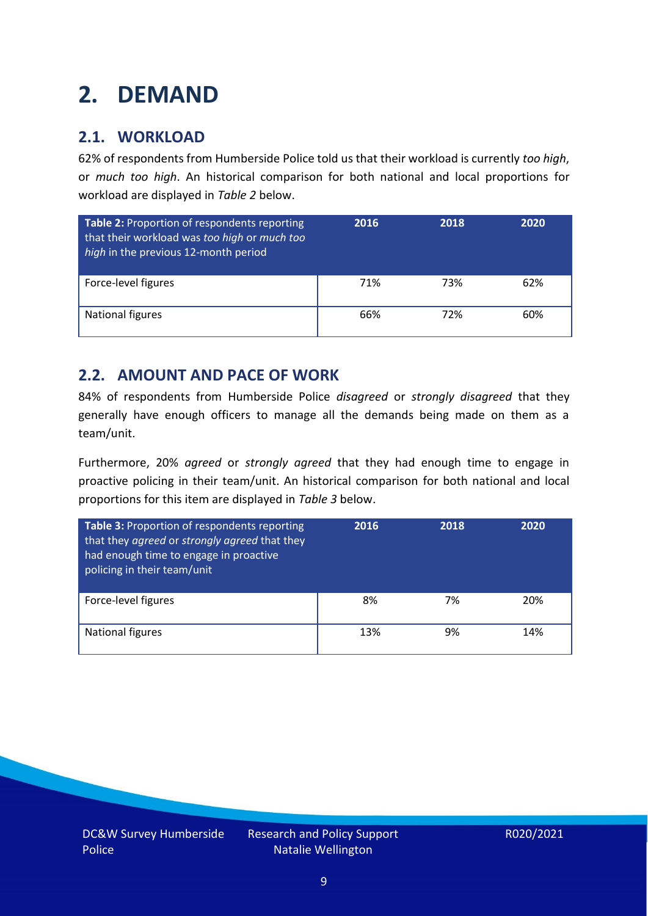# <span id="page-8-0"></span>**2. DEMAND**

### **2.1. WORKLOAD**

62% of respondents from Humberside Police told us that their workload is currently *too high*, or *much too high*. An historical comparison for both national and local proportions for workload are displayed in *Table 2* below.

| Table 2: Proportion of respondents reporting<br>that their workload was too high or much too<br>high in the previous 12-month period | 2016 | 2018 | 2020 |
|--------------------------------------------------------------------------------------------------------------------------------------|------|------|------|
| Force-level figures                                                                                                                  | 71%  | 73%  | 62%  |
| National figures                                                                                                                     | 66%  | 72%  | 60%  |

#### **2.2. AMOUNT AND PACE OF WORK**

84% of respondents from Humberside Police *disagreed* or *strongly disagreed* that they generally have enough officers to manage all the demands being made on them as a team/unit.

Furthermore, 20% *agreed* or *strongly agreed* that they had enough time to engage in proactive policing in their team/unit. An historical comparison for both national and local proportions for this item are displayed in *Table 3* below.

| <b>Table 3: Proportion of respondents reporting</b><br>that they agreed or strongly agreed that they<br>had enough time to engage in proactive<br>policing in their team/unit | 2016 | 2018 | 2020 |
|-------------------------------------------------------------------------------------------------------------------------------------------------------------------------------|------|------|------|
| Force-level figures                                                                                                                                                           | 8%   | 7%   | 20%  |
| <b>National figures</b>                                                                                                                                                       | 13%  | 9%   | 14%  |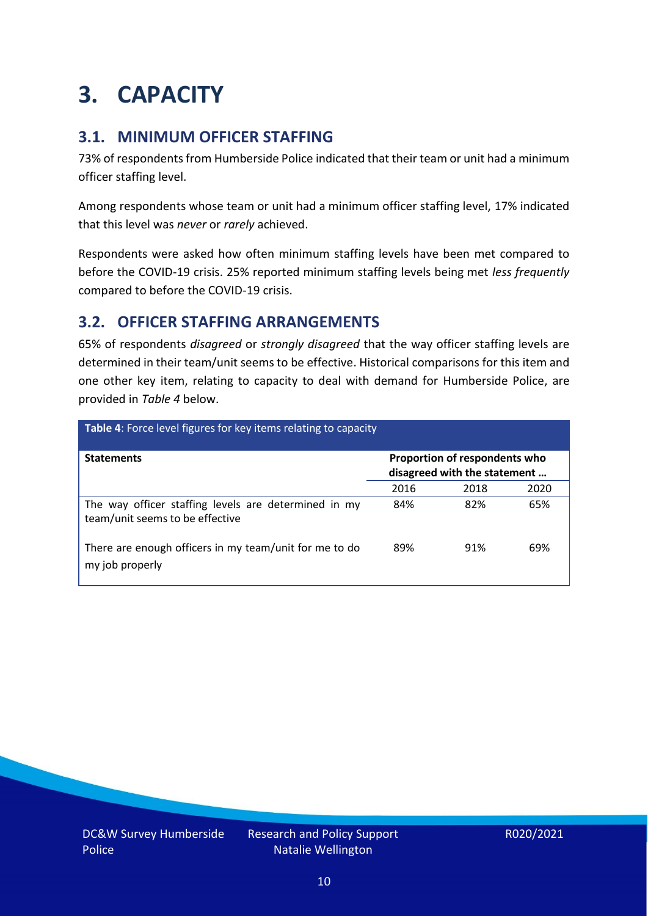# <span id="page-9-0"></span>**3. CAPACITY**

### **3.1. MINIMUM OFFICER STAFFING**

73% of respondents from Humberside Police indicated that their team or unit had a minimum officer staffing level.

Among respondents whose team or unit had a minimum officer staffing level, 17% indicated that this level was *never* or *rarely* achieved.

Respondents were asked how often minimum staffing levels have been met compared to before the COVID-19 crisis. 25% reported minimum staffing levels being met *less frequently* compared to before the COVID-19 crisis.

### **3.2. OFFICER STAFFING ARRANGEMENTS**

65% of respondents *disagreed* or *strongly disagreed* that the way officer staffing levels are determined in their team/unit seems to be effective. Historical comparisons for this item and one other key item, relating to capacity to deal with demand for Humberside Police, are provided in *Table 4* below.

| <b>Table 4:</b> Force level figures for key items relating to capacity                  |                                                               |      |      |  |
|-----------------------------------------------------------------------------------------|---------------------------------------------------------------|------|------|--|
| <b>Statements</b>                                                                       | Proportion of respondents who<br>disagreed with the statement |      |      |  |
|                                                                                         | 2016                                                          | 2018 | 2020 |  |
| The way officer staffing levels are determined in my<br>team/unit seems to be effective | 84%                                                           | 82%  | 65%  |  |
| There are enough officers in my team/unit for me to do<br>my job properly               | 89%                                                           | 91%  | 69%  |  |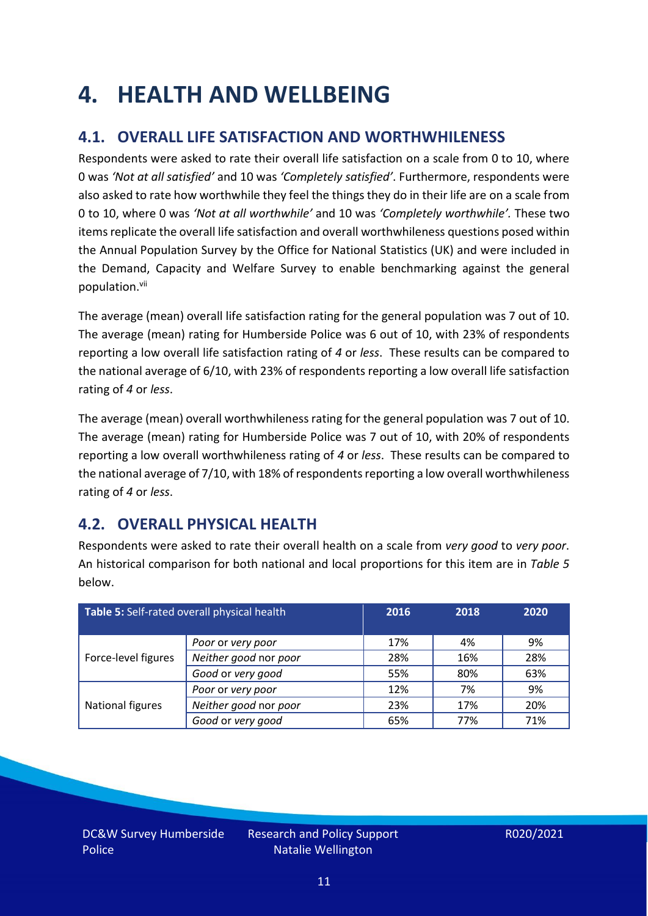### <span id="page-10-0"></span>**4. HEALTH AND WELLBEING**

### **4.1. OVERALL LIFE SATISFACTION AND WORTHWHILENESS**

Respondents were asked to rate their overall life satisfaction on a scale from 0 to 10, where 0 was *'Not at all satisfied'* and 10 was *'Completely satisfied'*. Furthermore, respondents were also asked to rate how worthwhile they feel the things they do in their life are on a scale from 0 to 10, where 0 was *'Not at all worthwhile'* and 10 was *'Completely worthwhile'.* These two items replicate the overall life satisfaction and overall worthwhileness questions posed within the Annual Population Survey by the Office for National Statistics (UK) and were included in the Demand, Capacity and Welfare Survey to enable benchmarking against the general population. vii

The average (mean) overall life satisfaction rating for the general population was 7 out of 10. The average (mean) rating for Humberside Police was 6 out of 10, with 23% of respondents reporting a low overall life satisfaction rating of *4* or *less*. These results can be compared to the national average of 6/10, with 23% of respondents reporting a low overall life satisfaction rating of *4* or *less*.

The average (mean) overall worthwhileness rating for the general population was 7 out of 10. The average (mean) rating for Humberside Police was 7 out of 10, with 20% of respondents reporting a low overall worthwhileness rating of *4* or *less*. These results can be compared to the national average of 7/10, with 18% of respondents reporting a low overall worthwhileness rating of *4* or *less*.

### **4.2. OVERALL PHYSICAL HEALTH**

Respondents were asked to rate their overall health on a scale from *very good* to *very poor*. An historical comparison for both national and local proportions for this item are in *Table 5* below.

| Table 5: Self-rated overall physical health |                       | 2016 | 2018 | 2020 |
|---------------------------------------------|-----------------------|------|------|------|
|                                             | Poor or very poor     | 17%  | 4%   | 9%   |
| Force-level figures                         | Neither good nor poor | 28%  | 16%  | 28%  |
|                                             | Good or very good     | 55%  | 80%  | 63%  |
|                                             | Poor or very poor     | 12%  | 7%   | 9%   |
| National figures                            | Neither good nor poor | 23%  | 17%  | 20%  |
|                                             | Good or very good     | 65%  | 77%  | 71%  |

DC&W Survey Humberside Police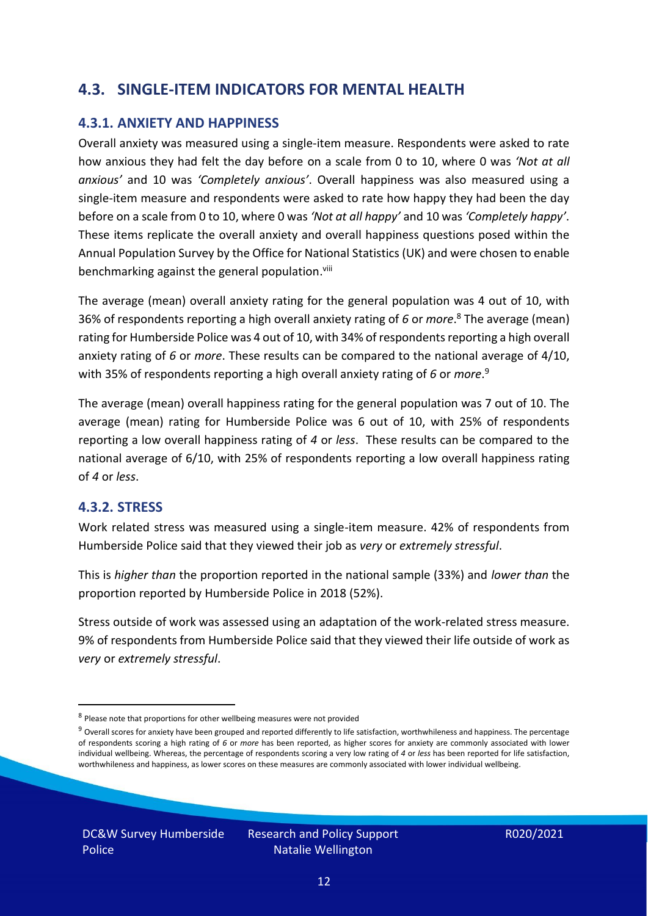#### **4.3. SINGLE-ITEM INDICATORS FOR MENTAL HEALTH**

#### **4.3.1. ANXIETY AND HAPPINESS**

Overall anxiety was measured using a single-item measure. Respondents were asked to rate how anxious they had felt the day before on a scale from 0 to 10, where 0 was *'Not at all anxious'* and 10 was *'Completely anxious'*. Overall happiness was also measured using a single-item measure and respondents were asked to rate how happy they had been the day before on a scale from 0 to 10, where 0 was *'Not at all happy'* and 10 was *'Completely happy'*. These items replicate the overall anxiety and overall happiness questions posed within the Annual Population Survey by the Office for National Statistics (UK) and were chosen to enable benchmarking against the general population.<sup>viii</sup>

The average (mean) overall anxiety rating for the general population was 4 out of 10, with 36% of respondents reporting a high overall anxiety rating of *6* or *more*. <sup>8</sup> The average (mean) rating for Humberside Police was 4 out of 10, with 34% of respondents reporting a high overall anxiety rating of *6* or *more*. These results can be compared to the national average of 4/10, with 35% of respondents reporting a high overall anxiety rating of *6* or *more*. 9

The average (mean) overall happiness rating for the general population was 7 out of 10. The average (mean) rating for Humberside Police was 6 out of 10, with 25% of respondents reporting a low overall happiness rating of *4* or *less*. These results can be compared to the national average of 6/10, with 25% of respondents reporting a low overall happiness rating of *4* or *less*.

#### **4.3.2. STRESS**

Work related stress was measured using a single-item measure. 42% of respondents from Humberside Police said that they viewed their job as *very* or *extremely stressful*.

This is *higher than* the proportion reported in the national sample (33%) and *lower than* the proportion reported by Humberside Police in 2018 (52%).

Stress outside of work was assessed using an adaptation of the work-related stress measure. 9% of respondents from Humberside Police said that they viewed their life outside of work as *very* or *extremely stressful*.

<sup>&</sup>lt;sup>8</sup> Please note that proportions for other wellbeing measures were not provided

 $9$  Overall scores for anxiety have been grouped and reported differently to life satisfaction, worthwhileness and happiness. The percentage of respondents scoring a high rating of *6* or *more* has been reported, as higher scores for anxiety are commonly associated with lower individual wellbeing. Whereas, the percentage of respondents scoring a very low rating of *4* or *less* has been reported for life satisfaction, worthwhileness and happiness, as lower scores on these measures are commonly associated with lower individual wellbeing.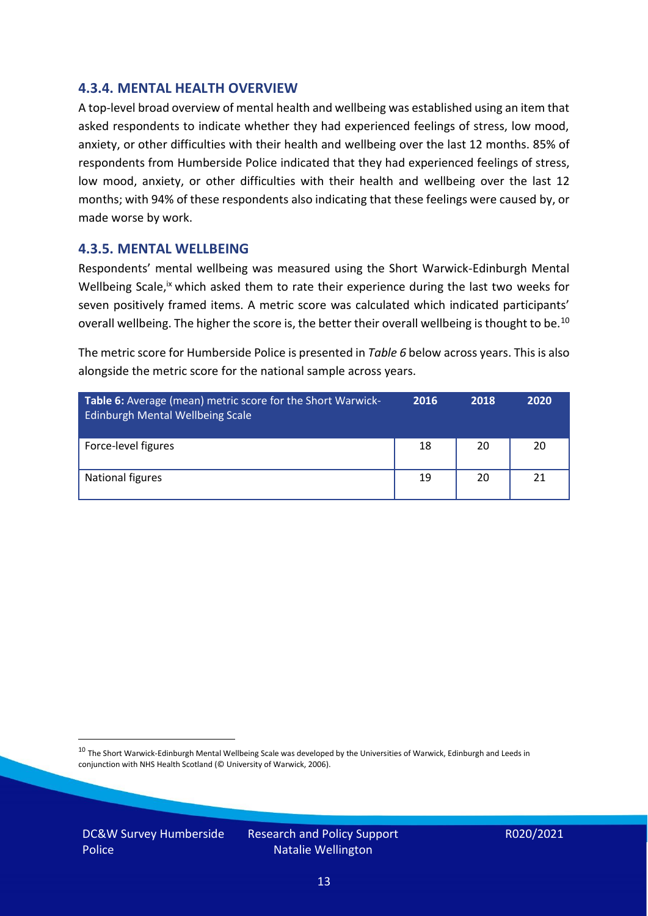#### **4.3.4. MENTAL HEALTH OVERVIEW**

A top-level broad overview of mental health and wellbeing was established using an item that asked respondents to indicate whether they had experienced feelings of stress, low mood, anxiety, or other difficulties with their health and wellbeing over the last 12 months. 85% of respondents from Humberside Police indicated that they had experienced feelings of stress, low mood, anxiety, or other difficulties with their health and wellbeing over the last 12 months; with 94% of these respondents also indicating that these feelings were caused by, or made worse by work.

#### **4.3.5. MENTAL WELLBEING**

Respondents' mental wellbeing was measured using the Short Warwick-Edinburgh Mental Wellbeing Scale,<sup>ix</sup> which asked them to rate their experience during the last two weeks for seven positively framed items. A metric score was calculated which indicated participants' overall wellbeing. The higher the score is, the better their overall wellbeing is thought to be.<sup>10</sup>

The metric score for Humberside Police is presented in *Table 6* below across years. This is also alongside the metric score for the national sample across years.

| <b>Table 6:</b> Average (mean) metric score for the Short Warwick-<br>Edinburgh Mental Wellbeing Scale | 2016 | 2018 | 2020 |
|--------------------------------------------------------------------------------------------------------|------|------|------|
| Force-level figures                                                                                    | 18   | 20   | 20   |
| National figures                                                                                       | 19   | 20   | 21   |

 $10$  The Short Warwick-Edinburgh Mental Wellbeing Scale was developed by the Universities of Warwick, Edinburgh and Leeds in conjunction with NHS Health Scotland (© University of Warwick, 2006).

DC&W Survey Humberside Police

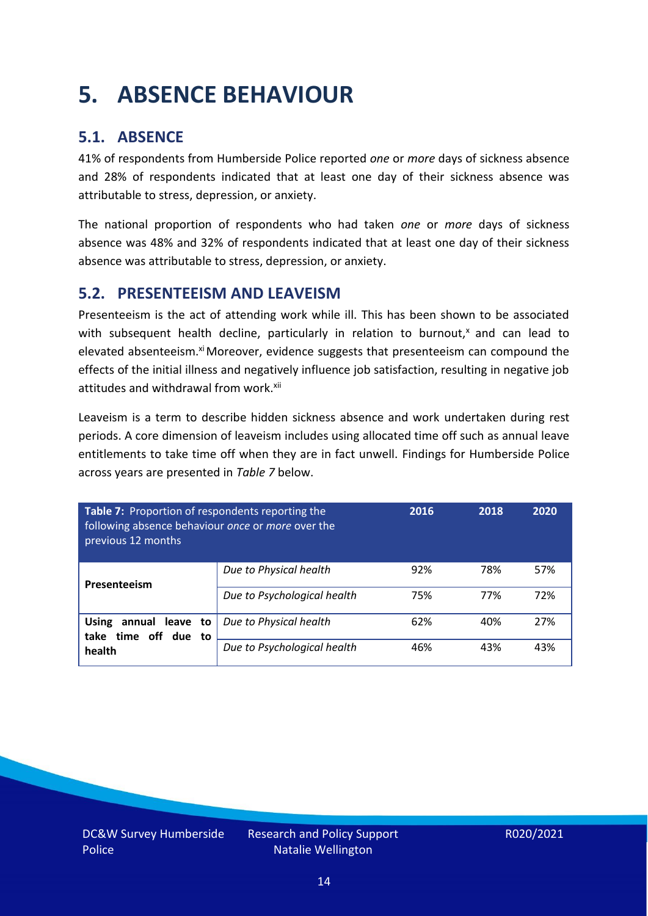# <span id="page-13-0"></span>**5. ABSENCE BEHAVIOUR**

### **5.1. ABSENCE**

41% of respondents from Humberside Police reported *one* or *more* days of sickness absence and 28% of respondents indicated that at least one day of their sickness absence was attributable to stress, depression, or anxiety.

The national proportion of respondents who had taken *one* or *more* days of sickness absence was 48% and 32% of respondents indicated that at least one day of their sickness absence was attributable to stress, depression, or anxiety.

#### **5.2. PRESENTEEISM AND LEAVEISM**

Presenteeism is the act of attending work while ill. This has been shown to be associated with subsequent health decline, particularly in relation to burnout, $x$  and can lead to elevated absenteeism.<sup>xi</sup> Moreover, evidence suggests that presenteeism can compound the effects of the initial illness and negatively influence job satisfaction, resulting in negative job attitudes and withdrawal from work.<sup>xii</sup>

Leaveism is a term to describe hidden sickness absence and work undertaken during rest periods. A core dimension of leaveism includes using allocated time off such as annual leave entitlements to take time off when they are in fact unwell. Findings for Humberside Police across years are presented in *Table 7* below.

| Table 7: Proportion of respondents reporting the<br>following absence behaviour once or more over the<br>previous 12 months |                             |     | 2018 | 2020 |
|-----------------------------------------------------------------------------------------------------------------------------|-----------------------------|-----|------|------|
| Presenteeism                                                                                                                | Due to Physical health      | 92% | 78%  | 57%  |
|                                                                                                                             | Due to Psychological health | 75% | 77%  | 72%  |
| <b>Using</b><br>annual leave to<br>time off due to<br>take                                                                  | Due to Physical health      | 62% | 40%  | 27%  |
| health                                                                                                                      | Due to Psychological health | 46% | 43%  | 43%  |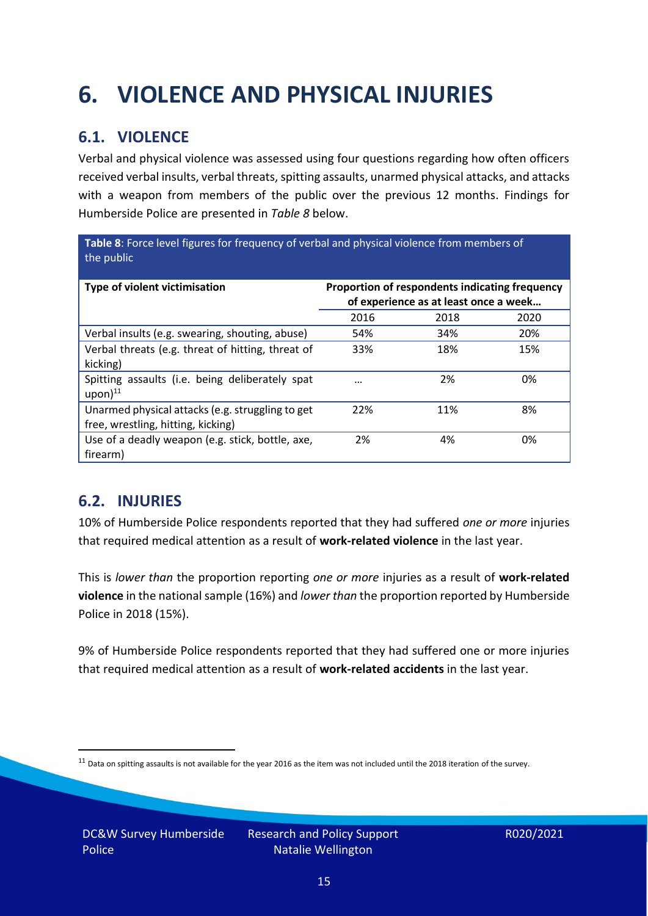# <span id="page-14-0"></span>**6. VIOLENCE AND PHYSICAL INJURIES**

### **6.1. VIOLENCE**

Verbal and physical violence was assessed using four questions regarding how often officers received verbal insults, verbal threats, spitting assaults, unarmed physical attacks, and attacks with a weapon from members of the public over the previous 12 months. Findings for Humberside Police are presented in *Table 8* below.

**Table 8**: Force level figures for frequency of verbal and physical violence from members of the public

| Type of violent victimisation                                                          | Proportion of respondents indicating frequency<br>of experience as at least once a week |      |      |
|----------------------------------------------------------------------------------------|-----------------------------------------------------------------------------------------|------|------|
|                                                                                        | 2016                                                                                    | 2018 | 2020 |
| Verbal insults (e.g. swearing, shouting, abuse)                                        | 54%                                                                                     | 34%  | 20%  |
| Verbal threats (e.g. threat of hitting, threat of<br>kicking)                          | 33%                                                                                     | 18%  | 15%  |
| Spitting assaults (i.e. being deliberately spat<br>$upon)$ <sup>11</sup>               | $\cdots$                                                                                | 2%   | 0%   |
| Unarmed physical attacks (e.g. struggling to get<br>free, wrestling, hitting, kicking) | 22%                                                                                     | 11%  | 8%   |
| Use of a deadly weapon (e.g. stick, bottle, axe,<br>firearm)                           | 2%                                                                                      | 4%   | 0%   |

### **6.2. INJURIES**

10% of Humberside Police respondents reported that they had suffered *one or more* injuries that required medical attention as a result of **work-related violence** in the last year.

This is *lower than* the proportion reporting *one or more* injuries as a result of **work-related violence** in the national sample (16%) and *lower than* the proportion reported by Humberside Police in 2018 (15%).

9% of Humberside Police respondents reported that they had suffered one or more injuries that required medical attention as a result of **work-related accidents** in the last year.

 $11$  Data on spitting assaults is not available for the year 2016 as the item was not included until the 2018 iteration of the survey.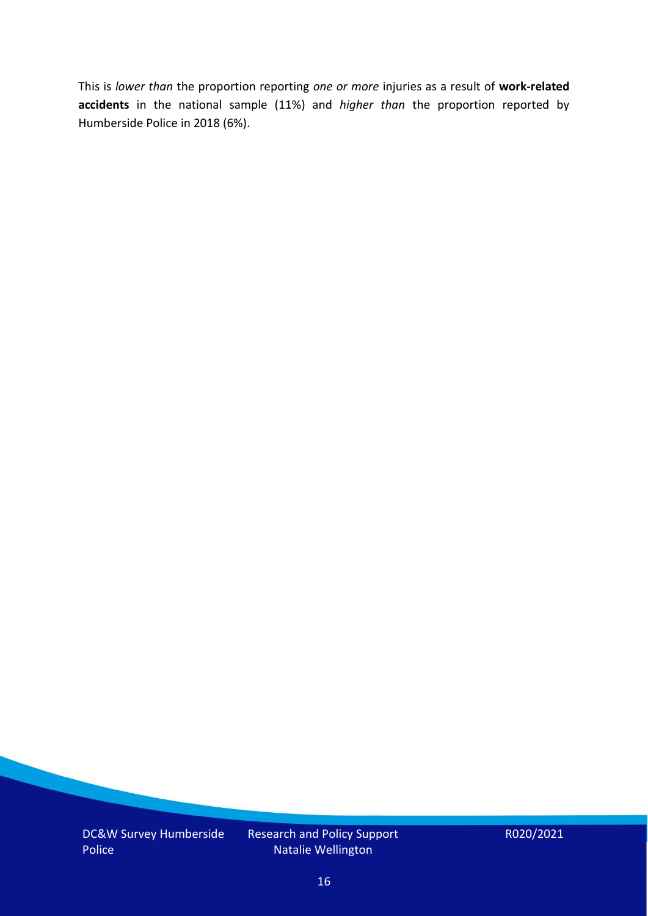This is *lower than* the proportion reporting *one or more* injuries as a result of **work-related accidents** in the national sample (11%) and *higher than* the proportion reported by Humberside Police in 2018 (6%).

DC&W Survey Humberside Police

Research and Policy Support Natalie Wellington

R020/2021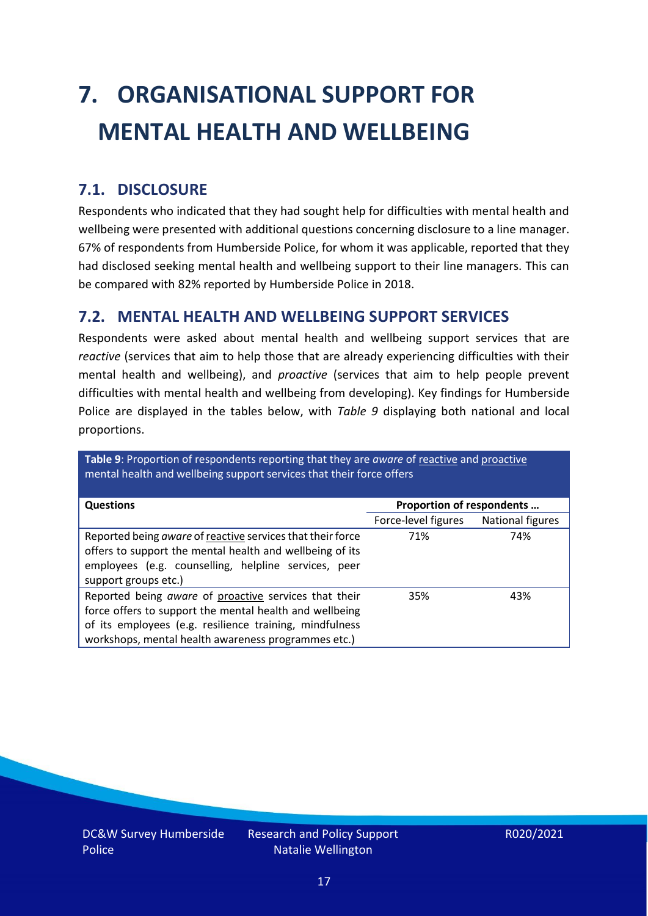# <span id="page-16-0"></span>**7. ORGANISATIONAL SUPPORT FOR MENTAL HEALTH AND WELLBEING**

### **7.1. DISCLOSURE**

Respondents who indicated that they had sought help for difficulties with mental health and wellbeing were presented with additional questions concerning disclosure to a line manager. 67% of respondents from Humberside Police, for whom it was applicable, reported that they had disclosed seeking mental health and wellbeing support to their line managers. This can be compared with 82% reported by Humberside Police in 2018.

#### **7.2. MENTAL HEALTH AND WELLBEING SUPPORT SERVICES**

Respondents were asked about mental health and wellbeing support services that are *reactive* (services that aim to help those that are already experiencing difficulties with their mental health and wellbeing), and *proactive* (services that aim to help people prevent difficulties with mental health and wellbeing from developing). Key findings for Humberside Police are displayed in the tables below, with *Table 9* displaying both national and local proportions.

**Table 9**: Proportion of respondents reporting that they are *aware* of reactive and proactive mental health and wellbeing support services that their force offers

| <b>Questions</b>                                           | Proportion of respondents |                  |  |
|------------------------------------------------------------|---------------------------|------------------|--|
|                                                            |                           |                  |  |
|                                                            | Force-level figures       | National figures |  |
| Reported being aware of reactive services that their force | 71%                       | 74%              |  |
| offers to support the mental health and wellbeing of its   |                           |                  |  |
| employees (e.g. counselling, helpline services, peer       |                           |                  |  |
| support groups etc.)                                       |                           |                  |  |
|                                                            |                           |                  |  |
| Reported being aware of proactive services that their      | 35%                       | 43%              |  |
| force offers to support the mental health and wellbeing    |                           |                  |  |
| of its employees (e.g. resilience training, mindfulness    |                           |                  |  |
| workshops, mental health awareness programmes etc.)        |                           |                  |  |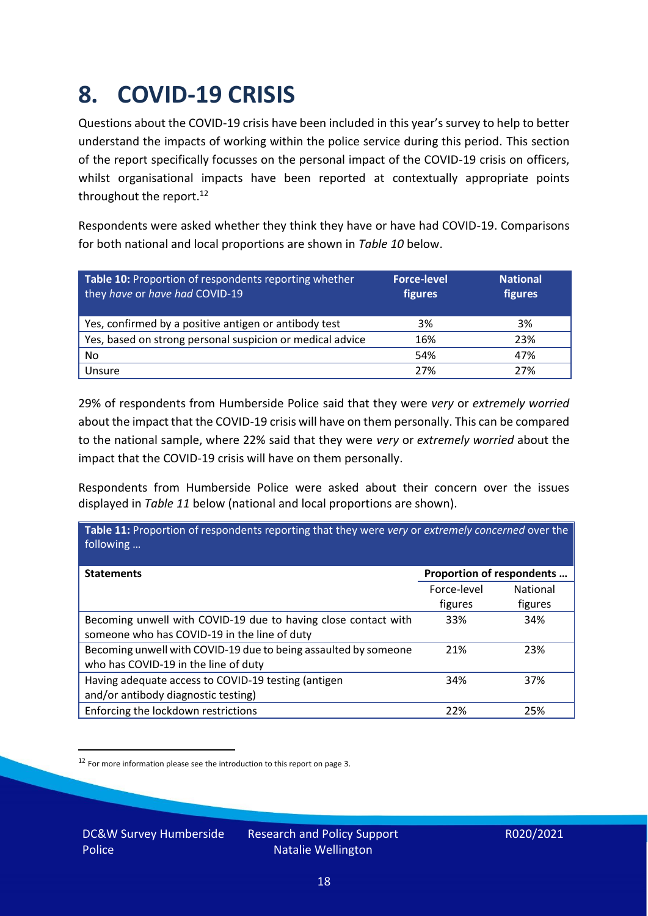### <span id="page-17-0"></span>**8. COVID-19 CRISIS**

Questions about the COVID-19 crisis have been included in this year's survey to help to better understand the impacts of working within the police service during this period. This section of the report specifically focusses on the personal impact of the COVID-19 crisis on officers, whilst organisational impacts have been reported at contextually appropriate points throughout the report.<sup>12</sup>

Respondents were asked whether they think they have or have had COVID-19. Comparisons for both national and local proportions are shown in *Table 10* below.

| Table 10: Proportion of respondents reporting whether<br>they have or have had COVID-19 | <b>Force-level</b><br>figures | <b>National</b><br>figures |
|-----------------------------------------------------------------------------------------|-------------------------------|----------------------------|
| Yes, confirmed by a positive antigen or antibody test                                   | 3%                            | 3%                         |
| Yes, based on strong personal suspicion or medical advice                               | 16%                           | 23%                        |
| No                                                                                      | 54%                           | 47%                        |
| Unsure                                                                                  | 27%                           | 27%                        |

29% of respondents from Humberside Police said that they were *very* or *extremely worried* about the impact that the COVID-19 crisis will have on them personally. This can be compared to the national sample, where 22% said that they were *very* or *extremely worried* about the impact that the COVID-19 crisis will have on them personally.

Respondents from Humberside Police were asked about their concern over the issues displayed in *Table 11* below (national and local proportions are shown).

| Table 11: Proportion of respondents reporting that they were very or extremely concerned over the<br>following |                           |                 |
|----------------------------------------------------------------------------------------------------------------|---------------------------|-----------------|
| <b>Statements</b>                                                                                              | Proportion of respondents |                 |
|                                                                                                                | Force-level               | <b>National</b> |
|                                                                                                                | figures                   | figures         |
| Becoming unwell with COVID-19 due to having close contact with                                                 | 33%                       | 34%             |
| someone who has COVID-19 in the line of duty                                                                   |                           |                 |
| Becoming unwell with COVID-19 due to being assaulted by someone                                                | 21%                       | 23%             |
| who has COVID-19 in the line of duty                                                                           |                           |                 |
| Having adequate access to COVID-19 testing (antigen                                                            | 34%                       | 37%             |
| and/or antibody diagnostic testing)                                                                            |                           |                 |
| Enforcing the lockdown restrictions                                                                            | 22%                       | 25%             |

<sup>12</sup> For more information please see the introduction to this report on page 3.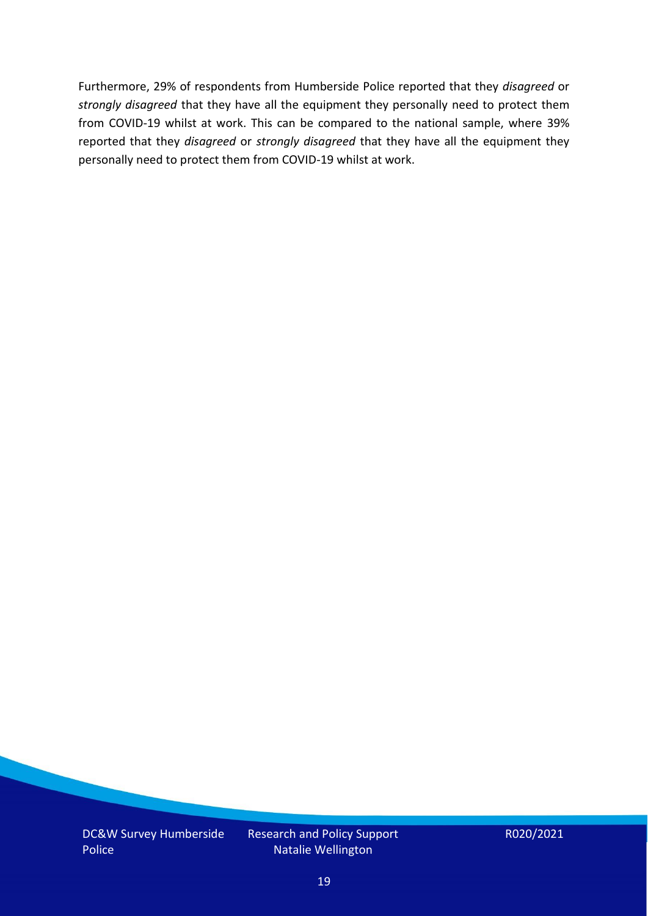Furthermore, 29% of respondents from Humberside Police reported that they *disagreed* or *strongly disagreed* that they have all the equipment they personally need to protect them from COVID-19 whilst at work. This can be compared to the national sample, where 39% reported that they *disagreed* or *strongly disagreed* that they have all the equipment they personally need to protect them from COVID-19 whilst at work.

DC&W Survey Humberside Police

Research and Policy Support Natalie Wellington

R020/2021